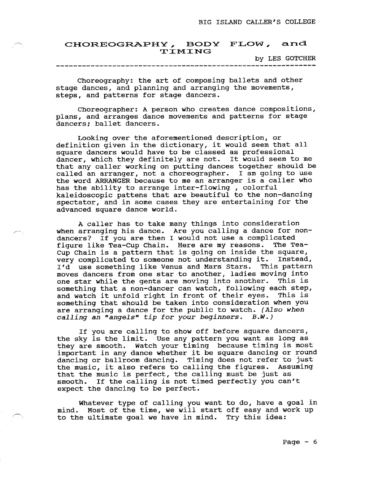## CHOREOGRAPHY, BODY FLOW, ar  $TIMING$

by LES GOTCHER

Choreography: the art of composing ballets and other stage dances, and planning and arranging the movements, steps, and patterns for stage dancers.

Choreographer: A person who creates dance eompositions, plans, and arranges dance movements and patterns for stage dancers; ballet dancers.

Looking over the aforementioned description. or definition given in the dictionary, it would seem that all square dancers would have to be classed as professional dancer, which they definitely are not. It would seem to ne that any caller workinq on putting dances together should be called an arranger, not a choreographer. I am going to use the word ARRANGER because to me an arranger is a caller who has the ability to arrange inter-flowing , colorf kaleidoscopic pattens that are beautiful to the non-dancin spectator, and in sone cases they are entertaining for the advanced square dance world.

A caller has to take many things into consideration when arranging his dance. Are you calling a dance for nondancers? If you are then I would not use a complicated figure like Tea-Cup Chain. Here are my reasons. The Tea-Cup Chain is a pattern that is going on inside the square, very complicated to someone not understanding it. Instead, I'd use something like Venus and Mars Stars. This pattern moves dancers from one star to another, ladies moving into one star while the gents are moving into another. This is something that a non-dancer can watch, following each step,<br>and watch it unfold right in front of their eves. This is and watch it unfold right in front of their eyes. something that should be taken into consideration when you are arranging a dance for the public to watch. (Also when calling an "angels" tip for your beginners.  $B.W.$ )

If you are calling to show off before square dancers, the sky is the linit. Use any pattern you want as long as they are smooth. Watch your timing because timing is most important in any dance whether it be square dancing or round dancing or ballroom dancing. Timing does not refer to just<br>the music, it also refers to calling the figures. Assuming the music, it also refers to calling the figures. that the music is perfect, the calling must be just as smooth. If the calling is not timed perfectly you can't expect the dancing to be perfect.

Whatever type of calling you want to do, have a goal in mind. Most of the time, we will start off easy and work up to the ultimate goal we have in nind. Try this idea: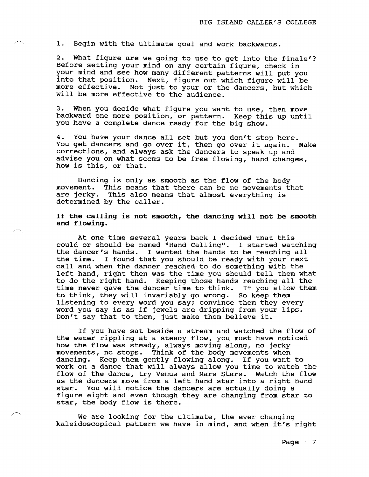1. Begin with the ultimate goal and work backwards.

2. What figure are we going to use to get into the finale'? Before setting your mind on any certain figure, check in your mind and see how many different patterns will put you into that position. Next, figure out which figure will be more effective. Not just to your or the dancers, but which will be more effeetive to the audience.

3. When you decide what figure you want to use, then move backward one more position, or pattern. Keep this up until you have a complete dance ready for the big show.

4. You have your dance all set but you don't stop here. You get dancers and go over it, then go over it again. Make corrections, and always ask the dancers to speak up and advise you on what seems to be free flowing, hand changes, how is this, or that.

Dancing is only as smooth as the flow of the body movement. This means that there can be no movements that are jerky. This also means that almost everything is determined by the caller.

If the calling is not smooth, the dancing will not be smooth and flowing.

At one time several years back I decided that this could or should be named "Hand Calling". I started watching<br>the dancer's hands. I wanted the hands to be reaching all I wanted the hands to be reaching all the time. I found that you should be ready with your next call and when the dancer reached to do something with the left hand, right then was the time you should tell them what to do the right hand. Keeping those hands reaching all the time never gave the dancer time to think. If you allow them to think, they will invariably go wrong. So keep them listening to every word you say; convince them they every word you say is as if jewels are dripping from your lips. Don't say that to them, just make them believe it.

If you have sat beside a stream and watched the flow of the water rippling at a steady f1ow, you must have noticed how the flow was steady, always moving along, no jerky rnevements, no stops. Think of the body movements when dancing. Keep them gently flowing along. If you want to work on a dance that will always allow you time to watch the flow of the dance, try Venus and Mars Stars. Watch the flow as the dancers move from a left hand star into a right hand star. You will. notice the dancers are actually doinq a figure eight and even though they are changing from star to star, the body flow is there.

We are looking for the ultimate, the ever changing kaleidoscopical pattern we have in mind, and when it's right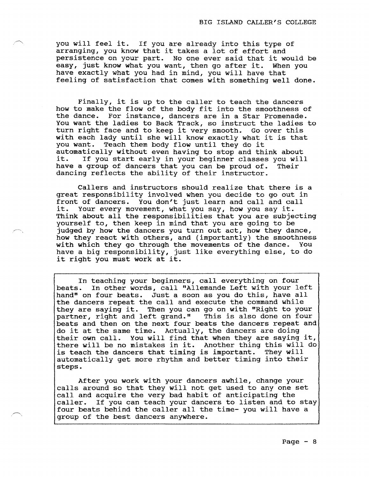you will feel it. If you are already into this type of arranging, you know that it takes a lot of effort and persistence on your part. No one ever said that it would be easy, just know what you want, then go after it. When you have exactly what you had in mind, you will have that feeling of satisfaction that comes with something well done.

Finally, it is up to the caller to teach the dancers how to make the flow of the body fit into the smoothness of the dance. For instance, dancers are in a Star Promenade. You want the ladies to Back Track, so instruct the ladies to turn right face and to keep it very smooth, Go over this with each lady until she will know exactly what it is that you want. Teach them body flow until they do it Teach them body flow until they do it automatically without even having to stop and think about it. If you start early in your beginner classes you will have a group of dancers that you can be proud of. Their dancing reflects the ability of their instructor.

Callers and instructors should realize that there is a great responsibility involved when you decide to go out in front of dancers. You don't just learn and call and call it. Your every movement, what you say, how you say it. Think about aII the responsibilities that you are subjecting yourself to, then keep in mind that you are going to be judged by how the dancers you turn out act, how they dance, how they react with others, and (importantly) the smoothness with which they go through the movements of the dance. You have a big responsibility, just like everything e1se, to do it riqht you must work at it.

In teaching your beginners, call everything on four beats. In other words, call "Allemande Left with your left hand" on four beats. Just a soon as you do this, have all the dancers repeat the call and execute the command while they are saying it. Then you can go on with "Right to your partner, right and left grand." This is also done on four beats and then on the next four beats the dancers repeat and do it at the same time. Actually, the dancers are doing their own call. You will find that when they are saying it, there will be no mistakes in it. Another thing this will do is teach the dancers that timing is important. They will automatically get more rhythm and better timing into their steps.

After you work with your dancers awhile, change your ca11s around so that they will not get used to any one set call and acquire the very bad habit of anticipating the ca11er. If you can teach your dancers to listen and to stay four beats behind the caller all the time- you will have a group of tbe best dancers anywhere.